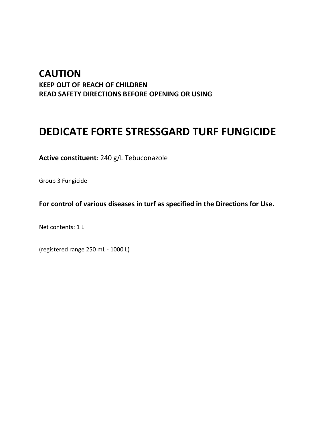# **CAUTION KEEP OUT OF REACH OF CHILDREN READ SAFETY DIRECTIONS BEFORE OPENING OR USING**

# **DEDICATE FORTE STRESSGARD TURF FUNGICIDE**

**Active constituent**: 240 g/L Tebuconazole

Group 3 Fungicide

**For control of various diseases in turf as specified in the Directions for Use.**

Net contents: 1 L

(registered range 250 mL - 1000 L)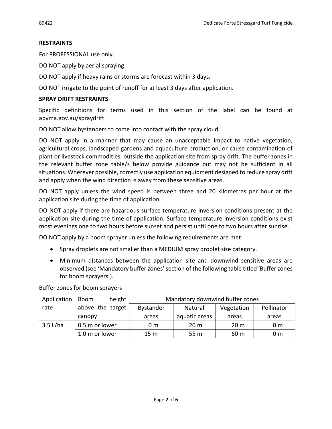#### **RESTRAINTS**

For PROFESSIONAL use only.

DO NOT apply by aerial spraying.

DO NOT apply if heavy rains or storms are forecast within 3 days.

DO NOT irrigate to the point of runoff for at least 3 days after application.

#### **SPRAY DRIFT RESTRAINTS**

Specific definitions for terms used in this section of the label can be found at apvma.gov.au/spraydrift.

DO NOT allow bystanders to come into contact with the spray cloud.

DO NOT apply in a manner that may cause an unacceptable impact to native vegetation, agricultural crops, landscaped gardens and aquaculture production, or cause contamination of plant or livestock commodities, outside the application site from spray drift. The buffer zones in the relevant buffer zone table/s below provide guidance but may not be sufficient in all situations. Wherever possible, correctly use application equipment designed to reduce spray drift and apply when the wind direction is away from these sensitive areas.

DO NOT apply unless the wind speed is between three and 20 kilometres per hour at the application site during the time of application.

DO NOT apply if there are hazardous surface temperature inversion conditions present at the application site during the time of application. Surface temperature inversion conditions exist most evenings one to two hours before sunset and persist until one to two hours after sunrise.

DO NOT apply by a boom sprayer unless the following requirements are met:

- Spray droplets are not smaller than a MEDIUM spray droplet size category.
- Minimum distances between the application site and downwind sensitive areas are observed (see 'Mandatory buffer zones' section of the following table titled 'Buffer zones for boom sprayers').

Buffer zones for boom sprayers

| Application | height<br><b>Boom</b> | Mandatory downwind buffer zones |                 |                 |                |  |
|-------------|-----------------------|---------------------------------|-----------------|-----------------|----------------|--|
| rate        | above the target      | <b>Bystander</b>                | Natural         | Vegetation      | Pollinator     |  |
|             | canopy                | areas                           | aquatic areas   | areas           | areas          |  |
| 3.5 L/ha    | 0.5 m or lower        | 0 m                             | 20 <sub>m</sub> | 20 <sub>m</sub> | 0 <sub>m</sub> |  |
|             | 1.0 m or lower        | 15 <sub>m</sub>                 | 55 m            | 60 m            | 0 m            |  |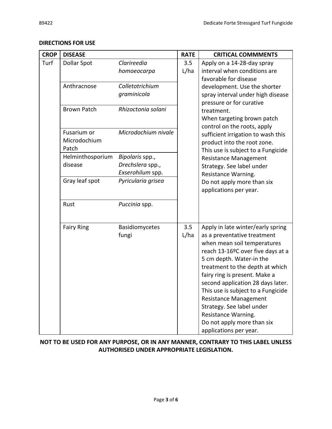| <b>CROP</b> | <b>DISEASE</b>                       |                                                         | <b>RATE</b> | <b>CRITICAL COMMMENTS</b>                                                                                                                                                                                                                                                                                                                                                                                                                                   |  |
|-------------|--------------------------------------|---------------------------------------------------------|-------------|-------------------------------------------------------------------------------------------------------------------------------------------------------------------------------------------------------------------------------------------------------------------------------------------------------------------------------------------------------------------------------------------------------------------------------------------------------------|--|
| Turf        | <b>Dollar Spot</b>                   | Clarireedia<br>homoeocarpa                              | 3.5<br>L/ha | Apply on a 14-28-day spray<br>interval when conditions are<br>favorable for disease                                                                                                                                                                                                                                                                                                                                                                         |  |
|             | Anthracnose                          | Colletotrichium<br>graminicola                          |             | development. Use the shorter<br>spray interval under high disease<br>pressure or for curative                                                                                                                                                                                                                                                                                                                                                               |  |
|             | <b>Brown Patch</b>                   | Rhizoctonia solani                                      |             | treatment.<br>When targeting brown patch<br>control on the roots, apply                                                                                                                                                                                                                                                                                                                                                                                     |  |
|             | Fusarium or<br>Microdochium<br>Patch | Microdochium nivale                                     |             | sufficient irrigation to wash this<br>product into the root zone.<br>This use is subject to a Fungicide                                                                                                                                                                                                                                                                                                                                                     |  |
|             | Helminthosporium<br>disease          | Bipolaris spp.,<br>Drechslera spp.,<br>Exserohilum spp. |             | <b>Resistance Management</b><br>Strategy. See label under<br>Resistance Warning.                                                                                                                                                                                                                                                                                                                                                                            |  |
|             | Gray leaf spot                       | Pyricularia grisea                                      |             | Do not apply more than six<br>applications per year.                                                                                                                                                                                                                                                                                                                                                                                                        |  |
|             | Rust                                 | Puccinia spp.                                           |             |                                                                                                                                                                                                                                                                                                                                                                                                                                                             |  |
|             | <b>Fairy Ring</b>                    | Basidiomycetes<br>fungi                                 | 3.5<br>L/ha | Apply in late winter/early spring<br>as a preventative treatment<br>when mean soil temperatures<br>reach 13-16ºC over five days at a<br>5 cm depth. Water-in the<br>treatment to the depth at which<br>fairy ring is present. Make a<br>second application 28 days later.<br>This use is subject to a Fungicide<br><b>Resistance Management</b><br>Strategy. See label under<br>Resistance Warning.<br>Do not apply more than six<br>applications per year. |  |

#### **DIRECTIONS FOR USE**

### **NOT TO BE USED FOR ANY PURPOSE, OR IN ANY MANNER, CONTRARY TO THIS LABEL UNLESS AUTHORISED UNDER APPROPRIATE LEGISLATION.**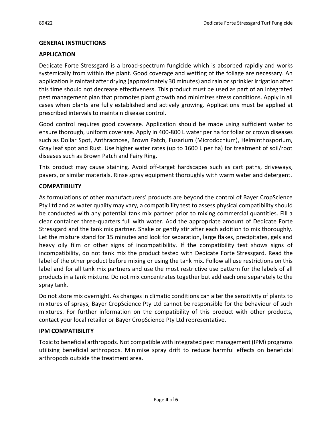#### **GENERAL INSTRUCTIONS**

#### **APPLICATION**

Dedicate Forte Stressgard is a broad-spectrum fungicide which is absorbed rapidly and works systemically from within the plant. Good coverage and wetting of the foliage are necessary. An application is rainfast after drying (approximately 30 minutes) and rain or sprinkler irrigation after this time should not decrease effectiveness. This product must be used as part of an integrated pest management plan that promotes plant growth and minimizes stress conditions. Apply in all cases when plants are fully established and actively growing. Applications must be applied at prescribed intervals to maintain disease control.

Good control requires good coverage. Application should be made using sufficient water to ensure thorough, uniform coverage. Apply in 400-800 L water per ha for foliar or crown diseases such as Dollar Spot, Anthracnose, Brown Patch, Fusarium (Microdochium), Helminthosporium, Gray leaf spot and Rust. Use higher water rates (up to 1600 L per ha) for treatment of soil/root diseases such as Brown Patch and Fairy Ring.

This product may cause staining. Avoid off-target hardscapes such as cart paths, driveways, pavers, or similar materials. Rinse spray equipment thoroughly with warm water and detergent.

#### **COMPATIBILITY**

As formulations of other manufacturers' products are beyond the control of Bayer CropScience Pty Ltd and as water quality may vary, a compatibility test to assess physical compatibility should be conducted with any potential tank mix partner prior to mixing commercial quantities. Fill a clear container three-quarters full with water. Add the appropriate amount of Dedicate Forte Stressgard and the tank mix partner. Shake or gently stir after each addition to mix thoroughly. Let the mixture stand for 15 minutes and look for separation, large flakes, precipitates, gels and heavy oily film or other signs of incompatibility. If the compatibility test shows signs of incompatibility, do not tank mix the product tested with Dedicate Forte Stressgard. Read the label of the other product before mixing or using the tank mix. Follow all use restrictions on this label and for all tank mix partners and use the most restrictive use pattern for the labels of all products in a tank mixture. Do not mix concentrates together but add each one separately to the spray tank.

Do not store mix overnight. As changes in climatic conditions can alter the sensitivity of plants to mixtures of sprays, Bayer CropScience Pty Ltd cannot be responsible for the behaviour of such mixtures. For further information on the compatibility of this product with other products, contact your local retailer or Bayer CropScience Pty Ltd representative.

#### **IPM COMPATIBILITY**

Toxic to beneficial arthropods. Not compatible with integrated pest management (IPM) programs utilising beneficial arthropods. Minimise spray drift to reduce harmful effects on beneficial arthropods outside the treatment area.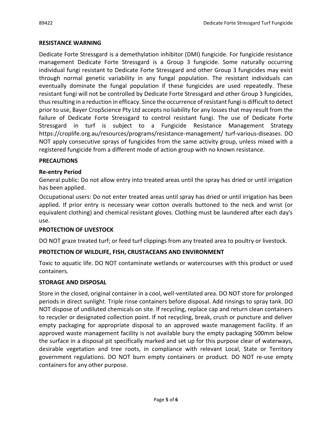#### **RESISTANCE WARNING**

Dedicate Forte Stressgard is a demethylation inhibitor (DMI) fungicide. For fungicide resistance management Dedicate Forte Stressgard is a Group 3 fungicide. Some naturally occurring individual fungi resistant to Dedicate Forte Stressgard and other Group 3 fungicides may exist through normal genetic variability in any fungal population. The resistant individuals can eventually dominate the fungal population if these fungicides are used repeatedly. These resistant fungi will not be controlled by Dedicate Forte Stressgard and other Group 3 fungicides, thus resulting in a reduction in efficacy. Since the occurrence of resistant fungi is difficult to detect prior to use, Bayer CropScience Pty Ltd accepts no liability for any losses that may result from the failure of Dedicate Forte Stressgard to control resistant fungi. The use of Dedicate Forte Stressgard in turf is subject to a Fungicide Resistance Management Strategy https://croplife.org.au/resources/programs/resistance-management/ turf-various-diseases. DO NOT apply consecutive sprays of fungicides from the same activity group, unless mixed with a registered fungicide from a different mode of action group with no known resistance.

#### **PRECAUTIONS**

#### **Re-entry Period**

General public: Do not allow entry into treated areas until the spray has dried or until irrigation has been applied.

Occupational users: Do not enter treated areas until spray has dried or until irrigation has been applied. If prior entry is necessary wear cotton overalls buttoned to the neck and wrist (or equivalent clothing) and chemical resistant gloves. Clothing must be laundered after each day's use.

#### **PROTECTION OF LIVESTOCK**

DO NOT graze treated turf; or feed turf clippings from any treated area to poultry or livestock.

# **PROTECTION OF WILDLIFE, FISH, CRUSTACEANS AND ENVIRONMENT**

Toxic to aquatic life. DO NOT contaminate wetlands or watercourses with this product or used containers.

#### **STORAGE AND DISPOSAL**

Store in the closed, original container in a cool, well-ventilated area. DO NOT store for prolonged periods in direct sunlight. Triple rinse containers before disposal. Add rinsings to spray tank. DO NOT dispose of undiluted chemicals on site. If recycling, replace cap and return clean containers to recycler or designated collection point. If not recycling, break, crush or puncture and deliver empty packaging for appropriate disposal to an approved waste management facility. If an approved waste management facility is not available bury the empty packaging 500mm below the surface in a disposal pit specifically marked and set up for this purpose clear of waterways, desirable vegetation and tree roots, in compliance with relevant Local, State or Territory government regulations. DO NOT burn empty containers or product. DO NOT re-use empty containers for any other purpose.